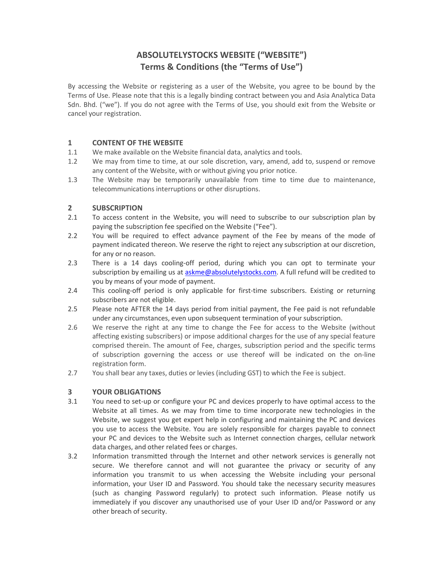# **ABSOLUTELYSTOCKS WEBSITE ("WEBSITE") Terms & Conditions (the "Terms of Use")**

By accessing the Website or registering as a user of the Website, you agree to be bound by the Terms of Use. Please note that this is a legally binding contract between you and Asia Analytica Data Sdn. Bhd. ("we"). If you do not agree with the Terms of Use, you should exit from the Website or cancel your registration.

## **1 CONTENT OF THE WEBSITE**

- 1.1 We make available on the Website financial data, analytics and tools.
- 1.2 We may from time to time, at our sole discretion, vary, amend, add to, suspend or remove any content of the Website, with or without giving you prior notice.
- 1.3 The Website may be temporarily unavailable from time to time due to maintenance, telecommunications interruptions or other disruptions.

# **2 SUBSCRIPTION**

- 2.1 To access content in the Website, you will need to subscribe to our subscription plan by paying the subscription fee specified on the Website ("Fee").
- 2.2 You will be required to effect advance payment of the Fee by means of the mode of payment indicated thereon. We reserve the right to reject any subscription at our discretion, for any or no reason.
- 2.3 There is a 14 days cooling-off period, during which you can opt to terminate your subscription by emailing us at askme@absolutelystocks.com. A full refund will be credited to you by means of your mode of payment.
- 2.4 This cooling-off period is only applicable for first-time subscribers. Existing or returning subscribers are not eligible.
- 2.5 Please note AFTER the 14 days period from initial payment, the Fee paid is not refundable under any circumstances, even upon subsequent termination of your subscription.
- 2.6 We reserve the right at any time to change the Fee for access to the Website (without affecting existing subscribers) or impose additional charges for the use of any special feature comprised therein. The amount of Fee, charges, subscription period and the specific terms of subscription governing the access or use thereof will be indicated on the on-line registration form.
- 2.7 You shall bear any taxes, duties or levies (including GST) to which the Fee is subject.

#### **3 YOUR OBLIGATIONS**

- 3.1 You need to set-up or configure your PC and devices properly to have optimal access to the Website at all times. As we may from time to time incorporate new technologies in the Website, we suggest you get expert help in configuring and maintaining the PC and devices you use to access the Website. You are solely responsible for charges payable to connect your PC and devices to the Website such as Internet connection charges, cellular network data charges, and other related fees or charges.
- 3.2 Information transmitted through the Internet and other network services is generally not secure. We therefore cannot and will not guarantee the privacy or security of any information you transmit to us when accessing the Website including your personal information, your User ID and Password. You should take the necessary security measures (such as changing Password regularly) to protect such information. Please notify us immediately if you discover any unauthorised use of your User ID and/or Password or any other breach of security.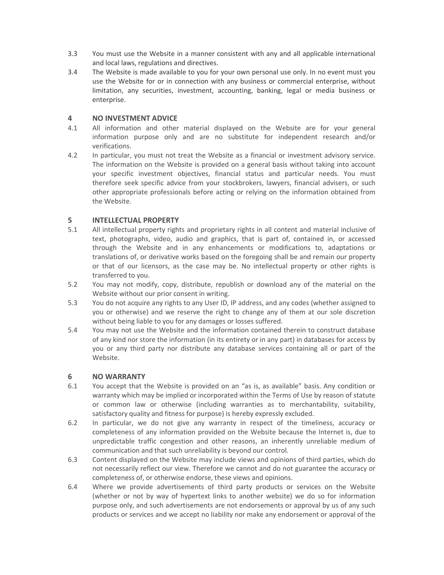- 3.3 You must use the Website in a manner consistent with any and all applicable international and local laws, regulations and directives.
- 3.4 The Website is made available to you for your own personal use only. In no event must you use the Website for or in connection with any business or commercial enterprise, without limitation, any securities, investment, accounting, banking, legal or media business or enterprise.

## **4 NO INVESTMENT ADVICE**

- 4.1 All information and other material displayed on the Website are for your general information purpose only and are no substitute for independent research and/or verifications.
- 4.2 In particular, you must not treat the Website as a financial or investment advisory service. The information on the Website is provided on a general basis without taking into account your specific investment objectives, financial status and particular needs. You must therefore seek specific advice from your stockbrokers, lawyers, financial advisers, or such other appropriate professionals before acting or relying on the information obtained from the Website.

# **5 INTELLECTUAL PROPERTY**

- 5.1 All intellectual property rights and proprietary rights in all content and material inclusive of text, photographs, video, audio and graphics, that is part of, contained in, or accessed through the Website and in any enhancements or modifications to, adaptations or translations of, or derivative works based on the foregoing shall be and remain our property or that of our licensors, as the case may be. No intellectual property or other rights is transferred to you.
- 5.2 You may not modify, copy, distribute, republish or download any of the material on the Website without our prior consent in writing.
- 5.3 You do not acquire any rights to any User ID, IP address, and any codes (whether assigned to you or otherwise) and we reserve the right to change any of them at our sole discretion without being liable to you for any damages or losses suffered.
- 5.4 You may not use the Website and the information contained therein to construct database of any kind nor store the information (in its entirety or in any part) in databases for access by you or any third party nor distribute any database services containing all or part of the Website.

#### **6 NO WARRANTY**

- 6.1 You accept that the Website is provided on an "as is, as available" basis. Any condition or warranty which may be implied or incorporated within the Terms of Use by reason of statute or common law or otherwise (including warranties as to merchantability, suitability, satisfactory quality and fitness for purpose) is hereby expressly excluded.
- 6.2 In particular, we do not give any warranty in respect of the timeliness, accuracy or completeness of any information provided on the Website because the Internet is, due to unpredictable traffic congestion and other reasons, an inherently unreliable medium of communication and that such unreliability is beyond our control.
- 6.3 Content displayed on the Website may include views and opinions of third parties, which do not necessarily reflect our view. Therefore we cannot and do not guarantee the accuracy or completeness of, or otherwise endorse, these views and opinions.
- 6.4 Where we provide advertisements of third party products or services on the Website (whether or not by way of hypertext links to another website) we do so for information purpose only, and such advertisements are not endorsements or approval by us of any such products or services and we accept no liability nor make any endorsement or approval of the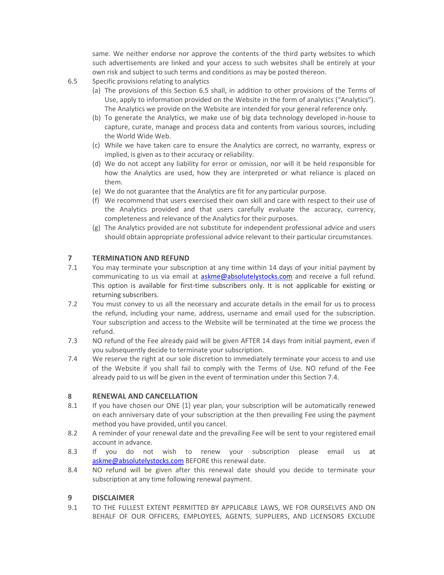same. We neither endorse nor approve the contents of the third party websites to which such advertisements are linked and your access to such websites shall be entirely at your own risk and subject to such terms and conditions as may be posted thereon.

- 6.5 Specific provisions relating to analytics
	- (a) The provisions of this Section 6.5 shall, in addition to other provisions of the Terms of Use, apply to information provided on the Website in the form of analytics ("Analytics"). The Analytics we provide on the Website are intended for your general reference only.
	- (b) To generate the Analytics, we make use of big data technology developed in-house to capture, curate, manage and process data and contents from various sources, including the World Wide Web.
	- (c) While we have taken care to ensure the Analytics are correct, no warranty, express or implied, is given as to their accuracy or reliability.
	- (d) We do not accept any liability for error or omission, nor will it be held responsible for how the Analytics are used, how they are interpreted or what reliance is placed on them.
	- (e) We do not guarantee that the Analytics are fit for any particular purpose.
	- (f) We recommend that users exercised their own skill and care with respect to their use of the Analytics provided and that users carefully evaluate the accuracy, currency, completeness and relevance of the Analytics for their purposes.
	- (g) The Analytics provided are not substitute for independent professional advice and users should obtain appropriate professional advice relevant to their particular circumstances.

#### **7 TERMINATION AND REFUND**

- 7.1 You may terminate your subscription at any time within 14 days of your initial payment by communicating to us via email at askme@absolutelystocks.com and receive a full refund. This option is available for first-time subscribers only. It is not applicable for existing or returning subscribers.
- 7.2 You must convey to us all the necessary and accurate details in the email for us to process the refund, including your name, address, username and email used for the subscription. Your subscription and access to the Website will be terminated at the time we process the refund.
- 7.3 NO refund of the Fee already paid will be given AFTER 14 days from initial payment, even if you subsequently decide to terminate your subscription.
- 7.4 We reserve the right at our sole discretion to immediately terminate your access to and use of the Website if you shall fail to comply with the Terms of Use. NO refund of the Fee already paid to us will be given in the event of termination under this Section 7.4.

#### **8 RENEWAL AND CANCELLATION**

- 8.1 If you have chosen our ONE (1) year plan, your subscription will be automatically renewed on each anniversary date of your subscription at the then prevailing Fee using the payment method you have provided, until you cancel.
- 8.2 A reminder of your renewal date and the prevailing Fee will be sent to your registered email account in advance.
- 8.3 If you do not wish to renew your subscription please email us at askme@absolutelystocks.com BEFORE this renewal date.
- 8.4 NO refund will be given after this renewal date should you decide to terminate your subscription at any time following renewal payment.

#### **9 DISCLAIMER**

9.1 TO THE FULLEST EXTENT PERMITTED BY APPLICABLE LAWS, WE FOR OURSELVES AND ON BEHALF OF OUR OFFICERS, EMPLOYEES, AGENTS, SUPPLIERS, AND LICENSORS EXCLUDE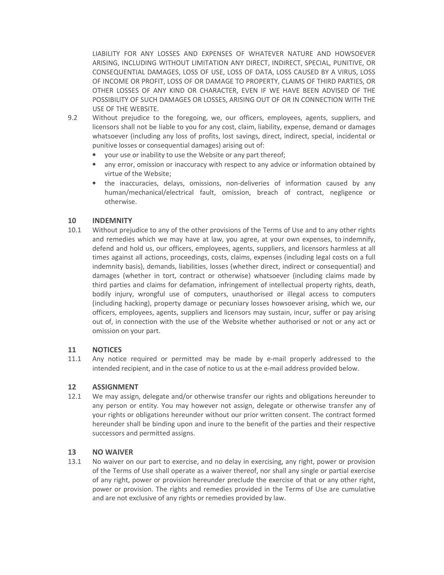LIABILITY FOR ANY LOSSES AND EXPENSES OF WHATEVER NATURE AND HOWSOEVER ARISING, INCLUDING WITHOUT LIMITATION ANY DIRECT, INDIRECT, SPECIAL, PUNITIVE, OR CONSEQUENTIAL DAMAGES, LOSS OF USE, LOSS OF DATA, LOSS CAUSED BY A VIRUS, LOSS OF INCOME OR PROFIT, LOSS OF OR DAMAGE TO PROPERTY, CLAIMS OF THIRD PARTIES, OR OTHER LOSSES OF ANY KIND OR CHARACTER, EVEN IF WE HAVE BEEN ADVISED OF THE POSSIBILITY OF SUCH DAMAGES OR LOSSES, ARISING OUT OF OR IN CONNECTION WITH THE USE OF THE WEBSITE.

- 9.2 Without prejudice to the foregoing, we, our officers, employees, agents, suppliers, and licensors shall not be liable to you for any cost, claim, liability, expense, demand or damages whatsoever (including any loss of profits, lost savings, direct, indirect, special, incidental or punitive losses or consequential damages) arising out of:
	- your use or inability to use the Website or any part thereof;
	- any error, omission or inaccuracy with respect to any advice or information obtained by virtue of the Website;
	- the inaccuracies, delays, omissions, non-deliveries of information caused by any human/mechanical/electrical fault, omission, breach of contract, negligence or otherwise.

#### **10 INDEMNITY**

10.1 Without prejudice to any of the other provisions of the Terms of Use and to any other rights and remedies which we may have at law, you agree, at your own expenses, to indemnify, defend and hold us, our officers, employees, agents, suppliers, and licensors harmless at all times against all actions, proceedings, costs, claims, expenses (including legal costs on a full indemnity basis), demands, liabilities, losses (whether direct, indirect or consequential) and damages (whether in tort, contract or otherwise) whatsoever (including claims made by third parties and claims for defamation, infringement of intellectual property rights, death, bodily injury, wrongful use of computers, unauthorised or illegal access to computers (including hacking), property damage or pecuniary losses howsoever arising, which we, our officers, employees, agents, suppliers and licensors may sustain, incur, suffer or pay arising out of, in connection with the use of the Website whether authorised or not or any act or omission on your part.

#### **11 NOTICES**

11.1 Any notice required or permitted may be made by e-mail properly addressed to the intended recipient, and in the case of notice to us at the e-mail address provided below.

#### **12 ASSIGNMENT**

12.1 We may assign, delegate and/or otherwise transfer our rights and obligations hereunder to any person or entity. You may however not assign, delegate or otherwise transfer any of your rights or obligations hereunder without our prior written consent. The contract formed hereunder shall be binding upon and inure to the benefit of the parties and their respective successors and permitted assigns.

#### **13 NO WAIVER**

13.1 No waiver on our part to exercise, and no delay in exercising, any right, power or provision of the Terms of Use shall operate as a waiver thereof, nor shall any single or partial exercise of any right, power or provision hereunder preclude the exercise of that or any other right, power or provision. The rights and remedies provided in the Terms of Use are cumulative and are not exclusive of any rights or remedies provided by law.